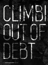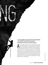## A new study offers more evidence that cutting spending is less harmful to growth than raising taxes **Alberto Alesina, Carlo A. Favero, and Francesco Giavazzi**

CLIMBI[NG](http://www.imf.org/external/pubs/ft/fandd/2018/03/alesina.htm) 

CLIMBING

OUT OF STRAIGHT

OUT OF STREET

Imost a decade after the onset of the global financial crisis,<br>national debt in advanced economies remains near its highest<br>level since World War II, averaging 104 percent of GDP. In<br>Japan, the ratio is 240 percent and in lmost a decade after the onset of the global financial crisis, national debt in advanced economies remains near its highest level since World War II, averaging 104 percent of GDP. In Japan, the ratio is 240 percent and in Greece almost 185 percent. measures either to cut spending or increase revenue, the situation will only get worse. As central banks abandon the extraordinary monetary measures they adopted to battle the crisis, interest rates will inevitably rise from historic lows. That means interest payments will eat up a growing share of government spending, leaving less money to deliver public services or take steps to ensure long-term economic growth, such as investing in infrastructure and education. Servicing debt will become a major burden.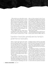What is the best way to reduce debt to sustainable levels? That question has taken on renewed importance since the global financial crisis of 2008, when government spending to stimulate growth and help the unemployed boosted budget deficits to postwar records. Some economists argue that cutting spending is the best medicine for restoring fiscal health. Others insist, on the contrary, that spending cuts are self-defeating, because they hurt economic growth. They prescribe even more government spending to reinvigorate a flagging economy.

To get a handle on the issue, it helps to look at the mathematics of debt reduction. The relevant number here is not the total amount of debt, but the ratio of debt to national income, or GDP,

richer set of data covering 16 of the 35 countries belonging to the Organisation for Economic Co-operation and Development between 1981 and 2014, including Canada, Japan, the United States, and most of Europe, excluding postcommunist nations. Our analysis focused on some 3,500 policy changes geared toward reducing deficits either by raising taxes or by cutting spending. We excluded fiscal measures aimed at stabilizing output—for example, cutting spending to cool an overheated economy—because such measures depend on the state of the economy and thus do not represent exogenous policy changes.

We should emphasize that our study focuses on a relatively limited group of developed economies. Austerity policies will have different effects in

## [Expenditure-based plans generally were less harmful to](http://www.imf.org/external/pubs/ft/fandd/2018/03/alesina.htm)  growth than tax-based plans.

which is a measure of the resources the economy can use to repay its debt. There are two ways to lower the ratio of debt to GDP. One is to reduce the size of the budget deficit (by cutting spending or increasing revenue); the other is to expand the size of the economy. Ideally, governments will reduce deficits and turn them into primary surpluses (that is, the excesses of tax revenue over spending, net of interest) in a way that does not hurt growth. If policies geared toward reducing deficits also caused a deep recession, they would be counterproductive: the decline in GDP would increase the debt-to-GDP ratio, notwithstanding the efforts made to reduce the deficit.

Which policies are more likely to result in a lower ratio of debt to GDP? A number of papers have addressed this question since at least the early 1990s (Alesina and Ardagna 2013 summarizes the early literature). We decided to take another look at the issue using new methodology and a much

developing economies, which have much smaller governments. Second, we are concerned with the short term and leave aside longer-term issues such as the impact of aging populations on pensions. Finally, we don't look at the flip side of austerity expansionary policies such as tax cuts or increases in spending.

In studying these episodes, we recognized that shifts in fiscal policy typically come in the form of multiyear plans adopted by governments with the aim of reducing the debt-to-GDP ratio over a period of time—typically three to four years. After reconstructing such plans, we divided them into two categories: expenditure-based plans, consisting mostly of spending cuts, and tax-based plans, consisting mostly of tax hikes. Our conclusion runs against the basic Keynesian message, which implies that spending cuts are more recessionary than tax increases. On the contrary, our study confirms that expenditure-based plans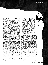generally were less harmful to growth than taxbased plans.

More specifically, we found that on average, expenditure-based plans were associated with very small downturns in growth: a plan worth 1 percent of GDP implied a loss of about half a percentage point relative to the average GDP growth of the country. The loss in output typically lasted less than two years. Moreover, if an expenditure-based plan was launched during a period of economic growth, the output costs were zero, on average. This means that some expenditure-based fiscal plans were associated with small downturns, while others were associated with almost immediate surges in growth, a phenomenon sometimes known as "expansionary austerity" that was first identified by Giavazzi and Pagano (1990). By contrast, tax-based fiscal corrections were associated with large and long-lasting recessions. A tax-based plan amounting to 1 percent of GDP was followed, on average, by a 2 percent decline in GDP relative to its pre-austerity path. This large recessionary effect tends to last several years.

In our results, there is expansionary austerity when a fiscal adjustment is accompanied by faster growth than would have occurred without the fiscal correction. Other definitions are possible for instance, looking at GDP growth relative to other countries in the sample. Expenditure-based fiscal corrections that resulted in GDP growth higher than the average, for the same period, of other countries in our sample included Austria, Denmark, and Ireland in the 1980s and Canada, Spain, and Sweden in the 1990s. Following the financial crisis, the two countries that adopted spending-based austerity and did better than the rest of the sample were Ireland and the United Kingdom, despite the huge banking problems in the former.

Governments sometimes seem to be aware of the different effects of tax-based and spending-based plans. For instance, in 2010 the Irish government noted that:

"The budget focused on curbing spending to adjust expenditure needs to the revenue base, which has been reduced as a result of the overall contraction of the economy and the loss of certain income streams. In addition…the Government took on board evidence from international organizations, such as the EU Commission, the OECD and the IMF, as well as the relevant economic literature which indicates that consolidation driven by cuts in expenditure is more successful in reducing deficits than consolidation based on tax increases." (Ireland Stability Programme Update, December 2009, 15)

Our second finding is that reductions in entitlement programs and other government transfers were less harmful to growth than tax increases. Such cuts were accompanied by mild and short-lived economic downturns, probably because taxpayers perceived them as permanent and so expected that the taxes needed to fund the programs would be lower in the future. Thus, the data suggest that reforms of social security rules aimed at reducing government spending are more like normal spending cuts than tax increases. Because social security reforms tend to be persistent, especially in countries with aging populations, they entail some of the smallest costs in terms of lost output.

Private investment also responded very differently [to the two types of austerity plans—positively](http://www.imf.org/external/pubs/ft/fandd/2018/03/alesina.htm)  to spending-based plans and negatively to taxbased plans. Business confidence behaved consistently with private investment. On the other hand, household consumption and net exports (the difference between exports and imports) did not appear to differ on average during the two types of adjustments.

What about recent episodes of austerity that occurred after the crisis and started during a recession? Although the sheer size of some of these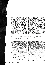austerity plans was exceptional—not only in Greece but also in Ireland, Portugal, and Spain and to a lesser extent in Italy and the United Kingdom—the outcomes did not differ significantly from those of previous episodes. Countries that chose tax-based austerity suffered deeper recessions than those that chose to cut spending. Among the latter are Ireland, despite a massive bank bailout program, and the United Kingdom, whose economic performance was much stronger than the IMF had predicted. The UK plan consisted almost completely of spending cuts. These included cuts in government consumption and public investment; reductions in transfers, including more restrictive policies on employers' pension contributions; support allowances; and public service pensions. Spending cuts (planned or immediately implemented) between

harmful if preceded by a currency devaluation, which would make exports more competitive and support growth. We find that this was not the case: there was no systematic difference in the behavior of the exchange rate before the two types of fiscal adjustment. If the exchange rate had been a significant factor, then the difference between the two cases in terms of GDP growth should have been associated with higher growth of net exports following a devaluation, independently of the type of fiscal plan adopted. This was not the case. As mentioned above, the driving force was domestic private investment.

Finally, large fiscal adjustments are often periods of deep structural reforms, which may include the liberalization of product and/or labor markets. If these were systematically occurring at the time of

## [Countries that chose tax-based austerity suffered deeper](http://www.imf.org/external/pubs/ft/fandd/2018/03/alesina.htm)  recessions than those that chose to cut spending.

2010 and 2014 amounted to 2.9 percent of GDP about 0.6 percent a year on average. Of all these measures, 87 percent were implemented within this five-year interval, with the rest deferred. The result: growth in the United Kingdom was higher than the European average. Investment growth recovered from the 21 percent drop of 2009 and increased almost 6 percent in 2010.

There are at least three possible explanations for these striking results. One is that the difference between tax- and spending-based plans is due to a difference in accompanying policies. The most obvious candidate is monetary policy. Guajardo, Leigh, and Pescatori (2014) argue that differences in the response of monetary policy are largely responsible for the different effects of the tax- and spending-based corrections they analyzed. We, however, find only a small fraction of the difference to be related to monetary policy.

A second possibility relates to the behavior of the exchange rate. A fiscal correction could be less

spending cuts, they might explain our finding. But in fact, these reforms did not occur systematically during periods of spending cuts.

A more promising explanation points to the role of confidence and expectations. Imagine an economy on an unsustainable path with exploding public debt. Rising interest rates in countries with high debt may generate exactly this scenario. Sooner or later fiscal stabilization must occur. The longer the delay, the more taxes must be raised (or spending cut) in the future. Stabilization, when it occurs, removes uncertainty about further delays that would have increased the costs even more.

Blanchard (1990) provides a simple model that illustrates this point. Stabilization that eliminates uncertainty about higher fiscal costs in the future stimulates demand today—especially from investors, who are more sensitive to uncertainty given the long-term nature of their plans. In their models, Blanchard (1990) and Alesina and Drazen (1991)